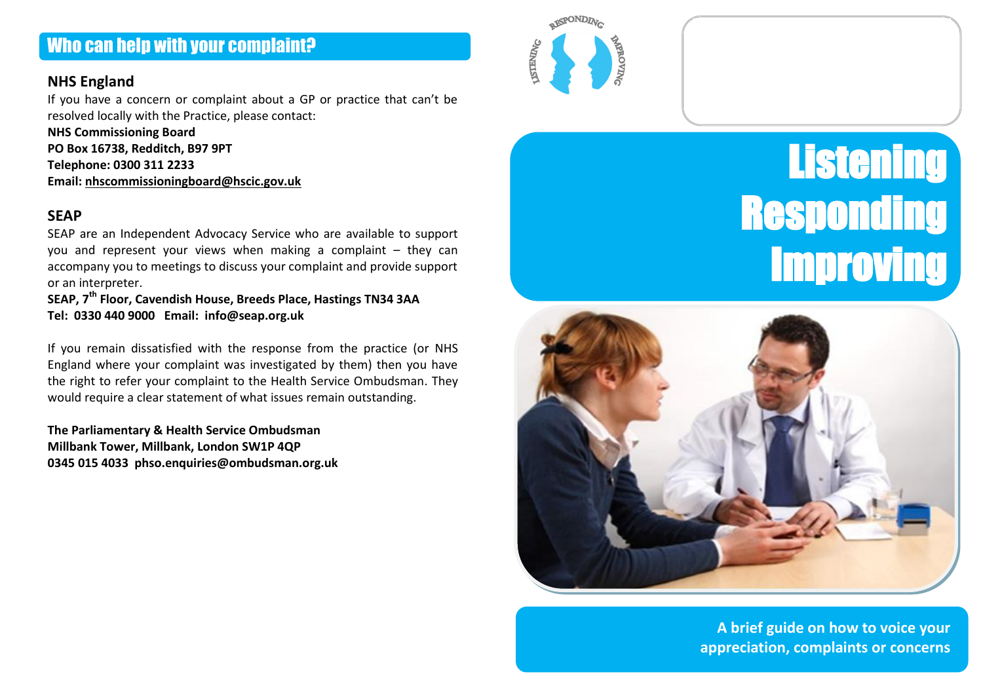# Who can help with your complaint?

#### **NHS England**

If you have a concern or complaint about a GP or practice that can't be resolved locally with the Practice, please contact:

**NHS Commissioning Board PO Box 16738, Redditch, B97 9PT Telephone: 0300 311 2233 Email: [nhscommissioningboard@hscic.gov.uk](mailto:nhscommissioningboard@hscic.gov.uk)**

#### **SEAP**

SEAP are an Independent Advocacy Service who are available to support you and represent your views when making a complaint – they can accompany you to meetings to discuss your complaint and provide support or an interpreter.

**SEAP, 7th Floor, Cavendish House, Breeds Place, Hastings TN34 3AA Tel: 0330 440 9000 Email: info@seap.org.uk**

If you remain dissatisfied with the response from the practice (or NHS England where your complaint was investigated by them) then you have the right to refer your complaint to the Health Service Ombudsman. They would require a clear statement of what issues remain outstanding.

**The Parliamentary & Health Service Ombudsman Millbank Tower, Millbank, London SW1P 4QP 0345 015 4033 phso.enquiries@ombudsman.org.uk**







**A brief guide on how to voice your appreciation, complaints or concerns**